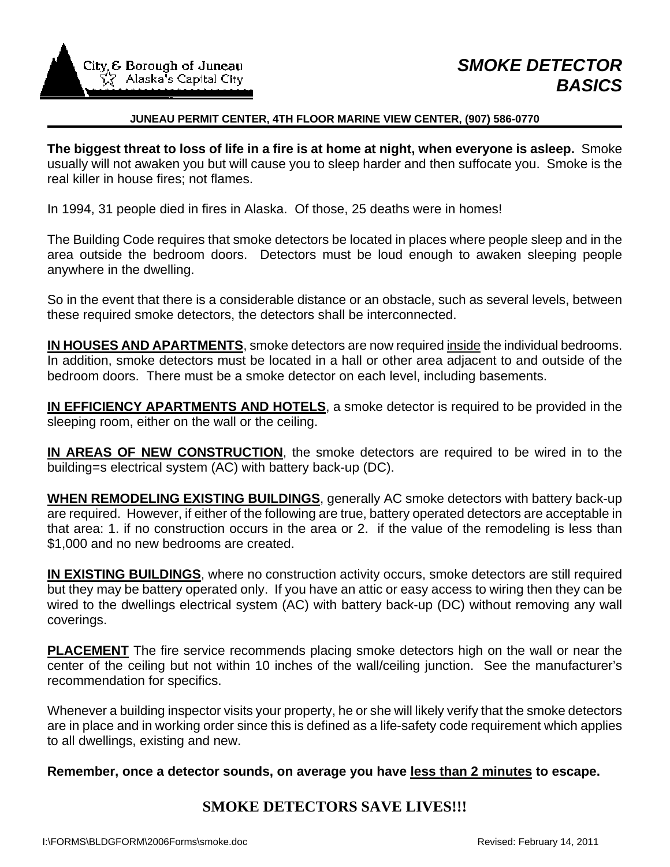

#### **JUNEAU PERMIT CENTER, 4TH FLOOR MARINE VIEW CENTER, (907) 586-0770**

**The biggest threat to loss of life in a fire is at home at night, when everyone is asleep.** Smoke usually will not awaken you but will cause you to sleep harder and then suffocate you. Smoke is the real killer in house fires; not flames.

In 1994, 31 people died in fires in Alaska. Of those, 25 deaths were in homes!

The Building Code requires that smoke detectors be located in places where people sleep and in the area outside the bedroom doors. Detectors must be loud enough to awaken sleeping people anywhere in the dwelling.

So in the event that there is a considerable distance or an obstacle, such as several levels, between these required smoke detectors, the detectors shall be interconnected.

**IN HOUSES AND APARTMENTS**, smoke detectors are now required inside the individual bedrooms. In addition, smoke detectors must be located in a hall or other area adjacent to and outside of the bedroom doors. There must be a smoke detector on each level, including basements.

**IN EFFICIENCY APARTMENTS AND HOTELS**, a smoke detector is required to be provided in the sleeping room, either on the wall or the ceiling.

**IN AREAS OF NEW CONSTRUCTION**, the smoke detectors are required to be wired in to the building=s electrical system (AC) with battery back-up (DC).

**WHEN REMODELING EXISTING BUILDINGS**, generally AC smoke detectors with battery back-up are required. However, if either of the following are true, battery operated detectors are acceptable in that area: 1. if no construction occurs in the area or 2. if the value of the remodeling is less than \$1,000 and no new bedrooms are created.

**IN EXISTING BUILDINGS**, where no construction activity occurs, smoke detectors are still required but they may be battery operated only. If you have an attic or easy access to wiring then they can be wired to the dwellings electrical system (AC) with battery back-up (DC) without removing any wall coverings.

**PLACEMENT** The fire service recommends placing smoke detectors high on the wall or near the center of the ceiling but not within 10 inches of the wall/ceiling junction. See the manufacturer's recommendation for specifics.

Whenever a building inspector visits your property, he or she will likely verify that the smoke detectors are in place and in working order since this is defined as a life-safety code requirement which applies to all dwellings, existing and new.

**Remember, once a detector sounds, on average you have less than 2 minutes to escape.** 

# **SMOKE DETECTORS SAVE LIVES!!!**